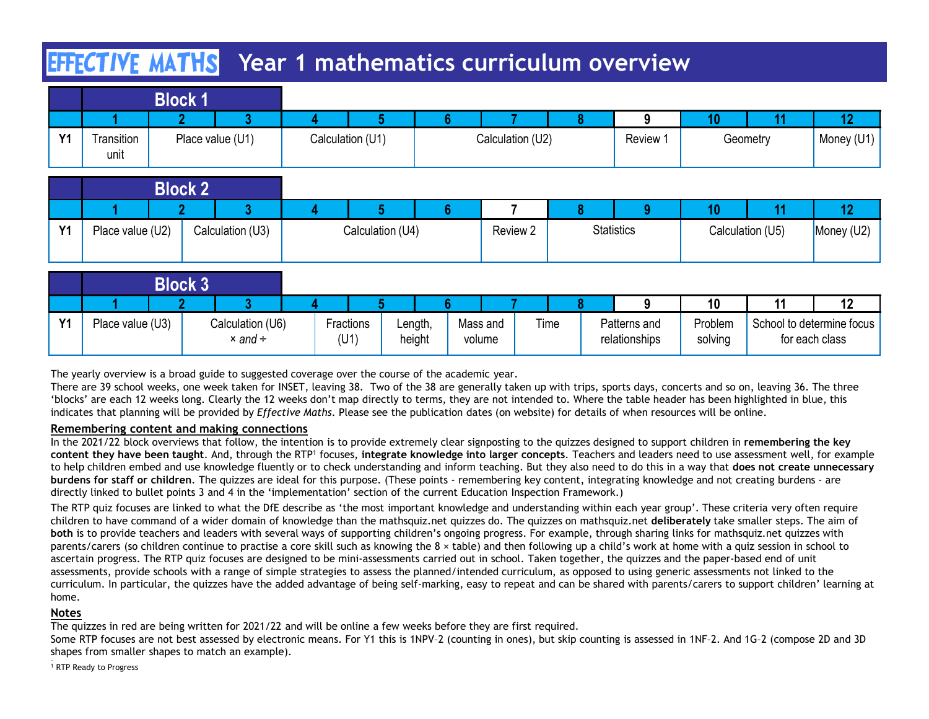# **HIFCTIVE MATHS** Year 1 mathematics curriculum overview

|           | <b>EFFECTIVE MATHS</b> |                                         | Year 1 mathematics curriculum overview |                   |                    |              |                               |                    |                  |                                             |
|-----------|------------------------|-----------------------------------------|----------------------------------------|-------------------|--------------------|--------------|-------------------------------|--------------------|------------------|---------------------------------------------|
|           |                        | <b>Block 1</b>                          |                                        |                   |                    |              |                               |                    |                  |                                             |
|           |                        | -3                                      |                                        |                   | 6 <sup>1</sup>     | -8           | 9                             | 10 <sub>1</sub>    | 11               | 12 <sub>2</sub>                             |
| <b>Y1</b> | Transition             | Place value (U1)                        | Calculation (U1)                       |                   | Calculation (U2)   |              | Review 1                      |                    | Geometry         | Money (U1)                                  |
|           | unit                   |                                         |                                        |                   |                    |              |                               |                    |                  |                                             |
|           |                        |                                         |                                        |                   |                    |              |                               |                    |                  |                                             |
|           |                        |                                         |                                        |                   |                    |              |                               |                    |                  |                                             |
|           |                        | <b>Block 2</b>                          |                                        |                   |                    | 7            |                               |                    |                  |                                             |
|           |                        | $\mathbf{3}$<br>$\mathbf{p}$            | 5 <sup>1</sup><br>$\Delta$             |                   | 6 <sup>1</sup>     | $\mathbf{8}$ | $\mathbf{Q}$                  | 10 <sup>°</sup>    | 11               | 12 <sub>2</sub>                             |
| <b>Y1</b> | Place value (U2)       | Calculation (U3)                        | Calculation (U4)                       |                   |                    | Review 2     | <b>Statistics</b>             |                    | Calculation (U5) | Money (U2)                                  |
|           |                        |                                         |                                        |                   |                    |              |                               |                    |                  |                                             |
|           |                        | <b>Block 3</b>                          |                                        |                   |                    |              |                               |                    |                  |                                             |
|           |                        | $\overline{3}$                          |                                        |                   |                    |              | 9                             | 10                 | 11               | 12                                          |
| <b>Y1</b> | Place value (U3)       | Calculation (U6)<br>$\times$ and $\div$ | Fractions<br>(U1)                      | Length,<br>height | Mass and<br>volume | Time         | Patterns and<br>relationships | Problem<br>solving |                  | School to determine focus<br>for each class |

|                |                  | <b>Block 2</b> |                  |                  |          |                   |                  |            |
|----------------|------------------|----------------|------------------|------------------|----------|-------------------|------------------|------------|
|                |                  |                |                  |                  |          |                   |                  |            |
| V <sub>4</sub> | Place value (U2) |                | Calculation (U3) | Calculation (U4) | Review 2 | <b>Statistics</b> | Calculation (U5) | Money (U2) |

|           |                  | <b>Block 2</b> |                                                                                                                                                                                                                                                                                                                                                                                                                                                                                                                                                                                                                                                                                                                                                                                                                                                                                                                                         |                   |                   |                    |          |      |                               |                    |                  |                                             |
|-----------|------------------|----------------|-----------------------------------------------------------------------------------------------------------------------------------------------------------------------------------------------------------------------------------------------------------------------------------------------------------------------------------------------------------------------------------------------------------------------------------------------------------------------------------------------------------------------------------------------------------------------------------------------------------------------------------------------------------------------------------------------------------------------------------------------------------------------------------------------------------------------------------------------------------------------------------------------------------------------------------------|-------------------|-------------------|--------------------|----------|------|-------------------------------|--------------------|------------------|---------------------------------------------|
|           |                  |                |                                                                                                                                                                                                                                                                                                                                                                                                                                                                                                                                                                                                                                                                                                                                                                                                                                                                                                                                         |                   |                   |                    |          |      |                               | 10                 |                  | 12                                          |
| <b>Y1</b> | Place value (U2) |                | Calculation (U3)                                                                                                                                                                                                                                                                                                                                                                                                                                                                                                                                                                                                                                                                                                                                                                                                                                                                                                                        | Calculation (U4)  |                   |                    | Review 2 |      | <b>Statistics</b>             |                    | Calculation (U5) | Money (U2)                                  |
|           |                  | <b>Block 3</b> |                                                                                                                                                                                                                                                                                                                                                                                                                                                                                                                                                                                                                                                                                                                                                                                                                                                                                                                                         |                   |                   |                    |          |      |                               |                    |                  |                                             |
|           |                  |                |                                                                                                                                                                                                                                                                                                                                                                                                                                                                                                                                                                                                                                                                                                                                                                                                                                                                                                                                         |                   |                   |                    |          |      |                               | 10                 |                  | 12                                          |
| <b>Y1</b> | Place value (U3) |                | Calculation (U6)<br>$\times$ and $\div$                                                                                                                                                                                                                                                                                                                                                                                                                                                                                                                                                                                                                                                                                                                                                                                                                                                                                                 | Fractions<br>(U1) | Length,<br>height | Mass and<br>volume |          | Time | Patterns and<br>relationships | Problem<br>solving |                  | School to determine focus<br>for each class |
|           |                  |                | There are 39 school weeks, one week taken for INSET, leaving 38. Two of the 38 are generally taken up with trips, sports days, concerts and so on, leaving 36. The three<br>'blocks' are each 12 weeks long. Clearly the 12 weeks don't map directly to terms, they are not intended to. Where the table header has been highlighted in blue, this<br>indicates that planning will be provided by Effective Maths. Please see the publication dates (on website) for details of when resources will be online.<br>Remembering content and making connections                                                                                                                                                                                                                                                                                                                                                                            |                   |                   |                    |          |      |                               |                    |                  |                                             |
|           |                  |                | In the 2021/22 block overviews that follow, the intention is to provide extremely clear signposting to the quizzes designed to support children in remembering the key<br>content they have been taught. And, through the RTP <sup>1</sup> focuses, integrate knowledge into larger concepts. Teachers and leaders need to use assessment well, for example                                                                                                                                                                                                                                                                                                                                                                                                                                                                                                                                                                             |                   |                   |                    |          |      |                               |                    |                  |                                             |
|           |                  |                | to help children embed and use knowledge fluently or to check understanding and inform teaching. But they also need to do this in a way that does not create unnecessary                                                                                                                                                                                                                                                                                                                                                                                                                                                                                                                                                                                                                                                                                                                                                                |                   |                   |                    |          |      |                               |                    |                  |                                             |
|           |                  |                | burdens for staff or children. The quizzes are ideal for this purpose. (These points - remembering key content, integrating knowledge and not creating burdens - are<br>directly linked to bullet points 3 and 4 in the 'implementation' section of the current Education Inspection Framework.)                                                                                                                                                                                                                                                                                                                                                                                                                                                                                                                                                                                                                                        |                   |                   |                    |          |      |                               |                    |                  |                                             |
|           |                  |                | The RTP quiz focuses are linked to what the DfE describe as 'the most important knowledge and understanding within each year group'. These criteria very often require<br>children to have command of a wider domain of knowledge than the mathsquiz.net quizzes do. The quizzes on mathsquiz.net deliberately take smaller steps. The aim of<br>both is to provide teachers and leaders with several ways of supporting children's ongoing progress. For example, through sharing links for mathsquiz.net quizzes with<br>parents/carers (so children continue to practise a core skill such as knowing the 8 x table) and then following up a child's work at home with a quiz session in school to<br>the second contract of the contract of the contract of the contract of the contract of the contract of the contract of the contract of the contract of the contract of the contract of the contract of the contract of the con |                   |                   |                    |          |      |                               |                    |                  |                                             |

### Remembering content and making connections

The RTP quiz focuses are linked to what the DfE describe as 'the most important knowledge and understanding within each year group'. These criteria very often require children to have command of a wider domain of knowledge than the mathsquiz.net quizzes do. The quizzes on mathsquiz.net deliberately take smaller steps. The aim of both is to provide teachers and leaders with several ways of supporting children's ongoing progress. For example, through sharing links for mathsquiz.net quizzes with **Parents/care in the continue to provide to provide the continue to provide the so continue to provide the stable) and the stable in the stable) and the stable stable) and the stable stable) and the stable stable) and the** ascertain progress. The RTP quiz focuses are designed to be mini-assessments carried out in school. Taken together, the quizzes and the paper-based end of unit **Block 3**<br> **assessment in the control of the schools with a range of simple schools with a range of simple strategies to assess the planned intended control of the school of determining control of simple strategies to asse** curriculum. In particular, the quizzes have the added advantage of being self-marking, easy to repeat and can be shared with parents/carers to support children' learning at home.

### Notes

The quizzes in red are being written for 2021/22 and will be online a few weeks before they are first required.

Some RTP focuses are not best assessed by electronic means. For Y1 this is 1NPV-2 (counting in ones), but skip counting is assessed in 1NF-2. And 1G-2 (compose 2D and 3D shapes from smaller shapes to match an example).

<sup>1</sup> RTP Ready to Progress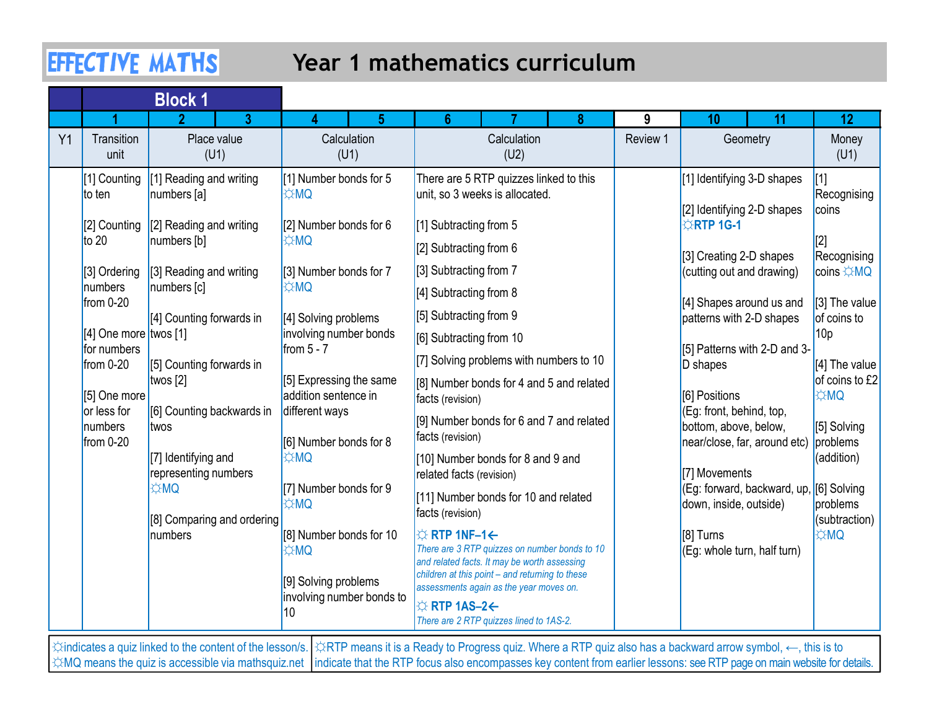# Year 1 mathematics curriculum

|    |                                                     | <b>EFFECTIVE MATHS</b>                      |                                                   | Year 1 mathematics curriculum                                                                                                                                                     |               |                                                                                   |                                  |
|----|-----------------------------------------------------|---------------------------------------------|---------------------------------------------------|-----------------------------------------------------------------------------------------------------------------------------------------------------------------------------------|---------------|-----------------------------------------------------------------------------------|----------------------------------|
|    |                                                     | <b>Block 1</b>                              |                                                   |                                                                                                                                                                                   |               |                                                                                   |                                  |
| Y1 | Transition                                          | $\overline{\mathbf{z}}$<br>3<br>Place value | 5<br>Calculation                                  | 6 <sup>1</sup><br>Calculation                                                                                                                                                     | 9<br>Review 1 | 11<br>10<br>Geometry                                                              | 12                               |
|    | unit                                                | (U1)                                        | (U1)                                              | (U2)                                                                                                                                                                              |               |                                                                                   | Money<br>(U1)                    |
|    | [1] Counting<br>to ten                              | [1] Reading and writing<br>numbers [a]      | [1] Number bonds for 5<br><b>E</b> ☆MQ            | There are 5 RTP quizzes linked to this<br>unit, so 3 weeks is allocated.                                                                                                          |               | [1] Identifying 3-D shapes                                                        | $[1]$<br>Recognising             |
|    | [2] Counting<br>$\sqrt{10}$                         | $[2]$ Reading and writing<br>numbers [b]    | $[2]$ Number bonds for 6<br><b>DMQ</b>            | [1] Subtracting from 5<br>$[2]$ Subtracting from 6                                                                                                                                |               | [2] Identifying 2-D shapes<br><b>ARTP 1G-1</b>                                    | coins                            |
|    | [3] Ordering<br>numbers                             | [3] Reading and writing<br>numbers [c]      | [3] Number bonds for 7<br><b>DMQ</b>              | [3] Subtracting from 7                                                                                                                                                            |               | [3] Creating 2-D shapes<br>(cutting out and drawing)                              | Recognising<br>coins ☆MQ         |
|    | from $0-20$                                         | [4] Counting forwards in                    | [4] Solving problems                              | $[4]$ Subtracting from 8<br>[5] Subtracting from 9                                                                                                                                |               | [4] Shapes around us and<br>patterns with 2-D shapes                              | $[3]$ The value<br>of coins to   |
|    | $(4)$ One more twos [1]<br>for numbers<br>from 0-20 | [5] Counting forwards in                    | involving number bonds<br>from $5 - 7$            | [6] Subtracting from 10<br>[7] Solving problems with numbers to 10                                                                                                                |               | [5] Patterns with 2-D and 3-<br>D shapes                                          | 10 <sub>p</sub><br>[4] The value |
|    | [5] One more                                        | twos $[2]$                                  | [5] Expressing the same<br>addition sentence in   | [8] Number bonds for 4 and 5 and related<br>facts (revision)                                                                                                                      |               | [6] Positions                                                                     | of coins to £2<br><b>DMC</b>     |
|    | or less for<br>numbers<br>$from 0-20$               | [6] Counting backwards in<br>twos           | different ways<br>[6] Number bonds for 8          | [9] Number bonds for 6 and 7 and related<br>facts (revision)                                                                                                                      |               | (Eg: front, behind, top,<br>bottom, above, below,<br>near/close, far, around etc) | [5] Solving<br>problems          |
|    |                                                     | [7] Identifying and<br>representing numbers | <b>OMC</b>                                        | [10] Number bonds for 8 and 9 and<br>related facts (revision)                                                                                                                     |               | [7] Movements                                                                     | (addition)                       |
|    |                                                     | <b>⇔MQ</b><br>[8] Comparing and ordering    | [7] Number bonds for 9<br><b>¢MQ</b>              | [11] Number bonds for 10 and related<br>facts (revision)                                                                                                                          |               | (Eg: forward, backward, up, [6] Solving<br>down, inside, outside)                 | problems<br>(subtraction)        |
|    |                                                     | numbers                                     | [8] Number bonds for 10<br><b>OM</b> ⇔            | <b>☆ RTP 1NF-1←</b><br>There are 3 RTP quizzes on number bonds to 10<br>and related facts. It may be worth assessing                                                              |               | [8] Turns<br>(Eg: whole turn, half turn)                                          | <b>DMC</b>                       |
|    |                                                     |                                             | [9] Solving problems<br>involving number bonds to | children at this point - and returning to these<br>assessments again as the year moves on.<br>$\Leftrightarrow$ RTP 1AS-2 $\leftarrow$<br>There are 2 RTP quizzes lined to 1AS-2. |               |                                                                                   |                                  |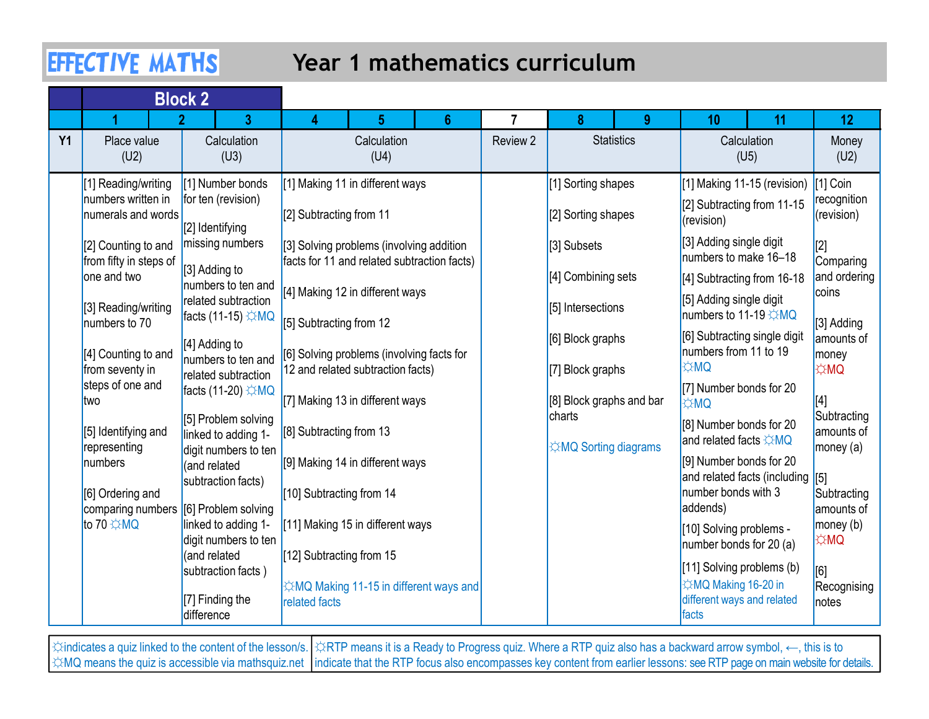## Year 1 mathematics curriculum

|           | <b>EFFECTIVE MATHS</b>                                          |                                                                |                          | Year 1 mathematics curriculum                                                           |   |          |                                          |          |                                                                                                |                                      |                                     |
|-----------|-----------------------------------------------------------------|----------------------------------------------------------------|--------------------------|-----------------------------------------------------------------------------------------|---|----------|------------------------------------------|----------|------------------------------------------------------------------------------------------------|--------------------------------------|-------------------------------------|
|           | 2                                                               | <b>Block 2</b><br>3 <sup>1</sup>                               |                          |                                                                                         | 6 |          | 8                                        | $\Omega$ | 10                                                                                             | 11                                   | 12 <sub>2</sub>                     |
| <b>Y1</b> | Place value<br>(U2)                                             | Calculation<br>(U3)                                            |                          | Calculation<br>(U4)                                                                     |   | Review 2 | <b>Statistics</b>                        |          |                                                                                                | Calculation<br>(U5)                  | Money<br>(U2)                       |
|           | [1] Reading/writing<br>numbers written in<br>numerals and words | [1] Number bonds<br>for ten (revision)<br>[2] Identifying      | [[2] Subtracting from 11 | [1] Making 11 in different ways                                                         |   |          | [1] Sorting shapes<br>[2] Sorting shapes |          | [2] Subtracting from 11-15<br>(revision)                                                       | [1] Making 11-15 (revision) [1] Coin | recognition<br>(revision)           |
|           | [2] Counting to and<br>from fifty in steps of<br>one and two    | missing numbers<br>$[3]$ Adding to                             |                          | [3] Solving problems (involving addition<br>facts for 11 and related subtraction facts) |   |          | [3] Subsets<br>[4] Combining sets        |          | [3] Adding single digit<br>numbers to make 16-18<br>[4] Subtracting from 16-18                 |                                      | Comparing<br>and ordering           |
|           | [3] Reading/writing<br>numbers to 70                            | numbers to ten and<br>related subtraction<br>facts (11-15) ☆MQ | [5] Subtracting from 12  | [4] Making 12 in different ways                                                         |   |          | [5] Intersections                        |          | [5] Adding single digit<br>numbers to 11-19 <del>☆MQ</del>                                     |                                      | coins<br>[3] Adding                 |
|           | [4] Counting to and<br>from seventy in                          | [4] Adding to<br>numbers to ten and<br>related subtraction     |                          | [6] Solving problems (involving facts for<br>12 and related subtraction facts)          |   |          | [6] Block graphs<br>[7] Block graphs     |          | numbers from 11 to 19<br><b>DM</b> 以                                                           | [6] Subtracting single digit         | amounts of<br>money<br><b>E</b> ☆MQ |
|           | steps of one and<br>two                                         | facts (11-20) ☆MQ<br>[5] Problem solving                       |                          | [7] Making 13 in different ways                                                         |   |          | [8] Block graphs and bar<br>charts       |          | [7] Number bonds for 20<br><b>OMC</b><br>[8] Number bonds for 20                               |                                      | Subtracting                         |
|           | [5] Identifying and<br>representing<br>numbers                  | linked to adding 1-<br>digit numbers to ten<br>(and related    | [8] Subtracting from 13  | [9] Making 14 in different ways                                                         |   |          | <b>E</b> ☆MQ Sorting diagrams            |          | and related facts ☆MQ<br>[9] Number bonds for 20                                               |                                      | amounts of<br>$ $ money (a)         |
|           | [6] Ordering and<br>comparing numbers [6] Problem solving       | subtraction facts)                                             | [10] Subtracting from 14 |                                                                                         |   |          |                                          |          | number bonds with 3<br>addends)                                                                | and related facts (including [5]     | Subtracting<br>amounts of           |
|           | to 70 ☆MQ                                                       | linked to adding 1-<br>digit numbers to ten<br>(and related    | [12] Subtracting from 15 | [11] Making 15 in different ways                                                        |   |          |                                          |          | [10] Solving problems -<br>number bonds for $20$ (a)                                           |                                      | $ $ money $(b)$<br> ☆MQ             |
|           |                                                                 | subtraction facts)<br>[7] Finding the<br>difference            | related facts            | ☆MQ Making 11-15 in different ways and                                                  |   |          |                                          |          | [11] Solving problems (b)<br><b>XMQ Making 16-20 in</b><br>different ways and related<br>facts |                                      | [6]<br>Recognising<br>notes         |

☼indicates a quiz linked to the content of the lesson/s. ☼RTP means it is a Ready to Progress quiz. Where a RTP quiz also has a backward arrow symbol, ←, this is to ☆MQ means the quiz is accessible via mathsquiz.net |indicate that the RTP focus also encompasses key content from earlier lessons: see RTP page on main website for details.